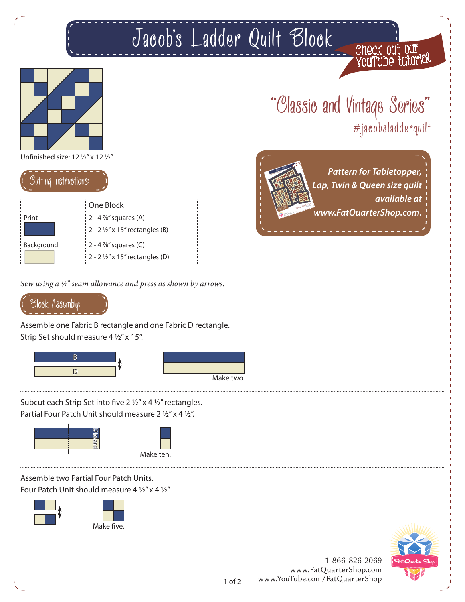## Jacob's Ladder Quilt Block



Unfinished size:  $12 \frac{1}{2}$ " x  $12 \frac{1}{2}$ ".

## Cutting Instructions:

|            | One Block                                              |
|------------|--------------------------------------------------------|
| Print      | $\frac{1}{2}$ - 4 %" squares (A)                       |
|            | $\frac{1}{2}$ - 2 $\frac{1}{2}$ " x 15" rectangles (B) |
| Background | $2 - 4$ %" squares (C)                                 |
|            | 2 - 2 $\frac{1}{2}$ " x 15" rectangles (D)             |

Sew using a  $\frac{1}{4}$ " seam allowance and press as shown by arrows.

## Block Assembly:

Assemble one Fabric B rectangle and one Fabric D rectangle. Strip Set should measure 4 1/2" x 15".





Subcut each Strip Set into five 2  $1/2$ " x 4  $1/2$ " rectangles. Partial Four Patch Unit should measure 2 1/2" x 4 1/2".



Assemble two Partial Four Patch Units. Four Patch Unit should measure 4 1/2" x 4 1/2".





#jacobsladderquilt Jacobs Ladder Quilt Check out



"Classic and Vintage Series"

<sup>Y</sup>ouTub<sup>e</sup> <sup>t</sup>utoria<sup>l</sup>